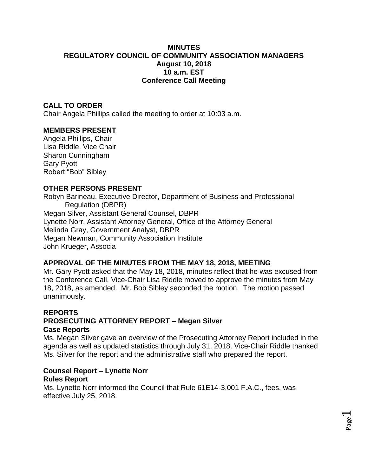## **MINUTES REGULATORY COUNCIL OF COMMUNITY ASSOCIATION MANAGERS August 10, 2018 10 a.m. EST Conference Call Meeting**

# **CALL TO ORDER**

Chair Angela Phillips called the meeting to order at 10:03 a.m.

## **MEMBERS PRESENT**

Angela Phillips, Chair Lisa Riddle, Vice Chair Sharon Cunningham Gary Pyott Robert "Bob" Sibley

#### **OTHER PERSONS PRESENT**

Robyn Barineau, Executive Director, Department of Business and Professional Regulation (DBPR) Megan Silver, Assistant General Counsel, DBPR Lynette Norr, Assistant Attorney General, Office of the Attorney General Melinda Gray, Government Analyst, DBPR Megan Newman, Community Association Institute John Krueger, Associa

## **APPROVAL OF THE MINUTES FROM THE MAY 18, 2018, MEETING**

Mr. Gary Pyott asked that the May 18, 2018, minutes reflect that he was excused from the Conference Call. Vice-Chair Lisa Riddle moved to approve the minutes from May 18, 2018, as amended. Mr. Bob Sibley seconded the motion. The motion passed unanimously.

#### **REPORTS PROSECUTING ATTORNEY REPORT – Megan Silver Case Reports**

Ms. Megan Silver gave an overview of the Prosecuting Attorney Report included in the agenda as well as updated statistics through July 31, 2018. Vice-Chair Riddle thanked Ms. Silver for the report and the administrative staff who prepared the report.

> Page  $\overline{\phantom{0}}$

# **Counsel Report – Lynette Norr**

#### **Rules Report**

Ms. Lynette Norr informed the Council that Rule 61E14-3.001 F.A.C., fees, was effective July 25, 2018.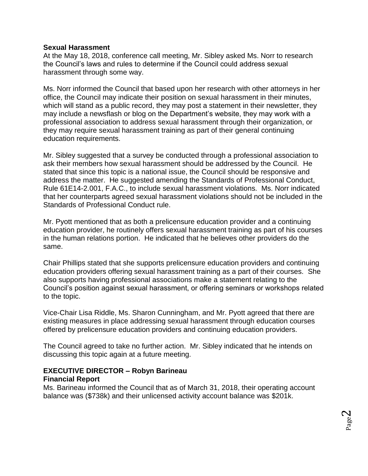### **Sexual Harassment**

At the May 18, 2018, conference call meeting, Mr. Sibley asked Ms. Norr to research the Council's laws and rules to determine if the Council could address sexual harassment through some way.

Ms. Norr informed the Council that based upon her research with other attorneys in her office, the Council may indicate their position on sexual harassment in their minutes, which will stand as a public record, they may post a statement in their newsletter, they may include a newsflash or blog on the Department's website, they may work with a professional association to address sexual harassment through their organization, or they may require sexual harassment training as part of their general continuing education requirements.

Mr. Sibley suggested that a survey be conducted through a professional association to ask their members how sexual harassment should be addressed by the Council. He stated that since this topic is a national issue, the Council should be responsive and address the matter. He suggested amending the Standards of Professional Conduct, Rule 61E14-2.001, F.A.C., to include sexual harassment violations. Ms. Norr indicated that her counterparts agreed sexual harassment violations should not be included in the Standards of Professional Conduct rule.

Mr. Pyott mentioned that as both a prelicensure education provider and a continuing education provider, he routinely offers sexual harassment training as part of his courses in the human relations portion. He indicated that he believes other providers do the same.

Chair Phillips stated that she supports prelicensure education providers and continuing education providers offering sexual harassment training as a part of their courses. She also supports having professional associations make a statement relating to the Council's position against sexual harassment, or offering seminars or workshops related to the topic.

Vice-Chair Lisa Riddle, Ms. Sharon Cunningham, and Mr. Pyott agreed that there are existing measures in place addressing sexual harassment through education courses offered by prelicensure education providers and continuing education providers.

The Council agreed to take no further action. Mr. Sibley indicated that he intends on discussing this topic again at a future meeting.

#### **EXECUTIVE DIRECTOR – Robyn Barineau Financial Report**

Ms. Barineau informed the Council that as of March 31, 2018, their operating account balance was (\$738k) and their unlicensed activity account balance was \$201k.